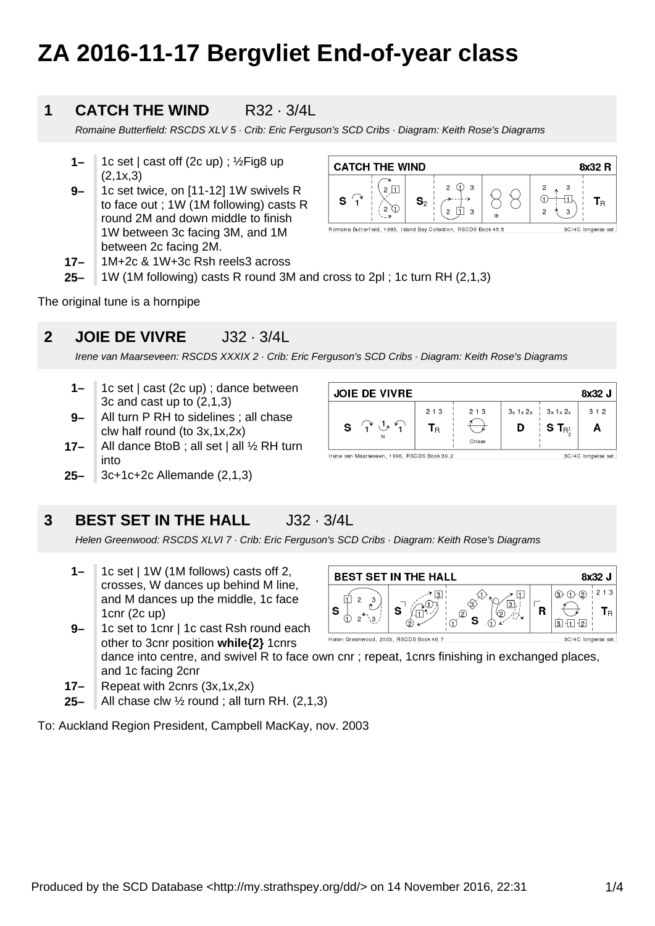# **ZA 2016-11-17 Bergvliet End-of-year class**

#### **1 CATCH THE WIND R32 · 3/4L**

Romaine Butterfield: RSCDS XLV 5 · Crib: Eric Ferguson's SCD Cribs · Diagram: Keith Rose's Diagrams

- **1–** 1c set | cast off (2c up) ; ½Fig8 up (2,1x,3)
- **9–** 1c set twice, on [11-12] 1W swivels R to face out ; 1W (1M following) casts R round 2M and down middle to finish 1W between 3c facing 3M, and 1M between 2c facing 2M.

| <b>CATCH THE WIND</b><br>8x32 R                                   |                |                  |         |                     |
|-------------------------------------------------------------------|----------------|------------------|---------|---------------------|
| っ                                                                 | $\mathbf{S}_2$ | 3<br>2<br>っ<br>3 | $\odot$ | l R<br>2<br>з       |
| Romaine Butterfield, 1983, Island Bay Collection, RSCDS Book 45.5 |                |                  |         | 3C/4C longwise set. |

- **17–** 1M+2c & 1W+3c Rsh reels3 across
- **25–** 1W (1M following) casts R round 3M and cross to 2pl ; 1c turn RH (2,1,3)

The original tune is a hornpipe

#### **2 JOIE DE VIVRE** J32 · 3/4L

Irene van Maarseveen: RSCDS XXXIX 2 · Crib: Eric Ferguson's SCD Cribs · Diagram: Keith Rose's Diagrams

- **1–** 1c set | cast (2c up) ; dance between 3c and cast up to (2,1,3)
- **9–** All turn P RH to sidelines ; all chase clw half round (to 3x,1x,2x)
- **17–** All dance BtoB ; all set | all 1/2 RH turn into
- **25–** 3c+1c+2c Allemande (2,1,3)

### **3 BEST SET IN THE HALL J32 · 3/4L**

Helen Greenwood: RSCDS XLVI 7 · Crib: Eric Ferguson's SCD Cribs · Diagram: Keith Rose's Diagrams

- **1–** 1c set | 1W (1M follows) casts off 2, crosses, W dances up behind M line, and M dances up the middle, 1c face 1cnr (2c up)
- **9–** 1c set to 1cnr | 1c cast Rsh round each other to 3cnr position **while{2}** 1cnrs

dance into centre, and swivel R to face own cnr ; repeat, 1cnrs finishing in exchanged places, and 1c facing 2cnr

- **17–** Repeat with 2cnrs (3x,1x,2x)
- **25–** All chase clw ½ round ; all turn RH. (2,1,3)

To: Auckland Region President, Campbell MacKay, nov. 2003

|                                | <b>BEST SET IN THE HALL</b> |          | 8x32 J     |
|--------------------------------|-----------------------------|----------|------------|
| 3<br>2<br><b>S</b><br>2<br>۱۹. | 3<br>s<br>'n<br>(2)<br>s    | (2<br>12 | 2 1 3<br>R |

| <b>JOIE DE VIVRE</b>                                                       |                           |       |   |                                                             | 8x32 J |
|----------------------------------------------------------------------------|---------------------------|-------|---|-------------------------------------------------------------|--------|
|                                                                            | 2 1 3                     | 2 1 3 |   | $3x \frac{1}{2}x \frac{2}{x}$ $3x \frac{1}{2}x \frac{2}{x}$ | 312    |
| $\left( \begin{array}{c} \lambda \\ 1 \end{array} \right)$<br>$\mathbf{s}$ | ${\mathsf T}_{\mathsf R}$ |       | D | S T $_{\mathsf{R}^1}$                                       | A      |
|                                                                            |                           | Chase |   |                                                             |        |
| Irene van Maarseveen, 1996, RSCDS Book 39.2<br>3C/4C longwise set.         |                           |       |   |                                                             |        |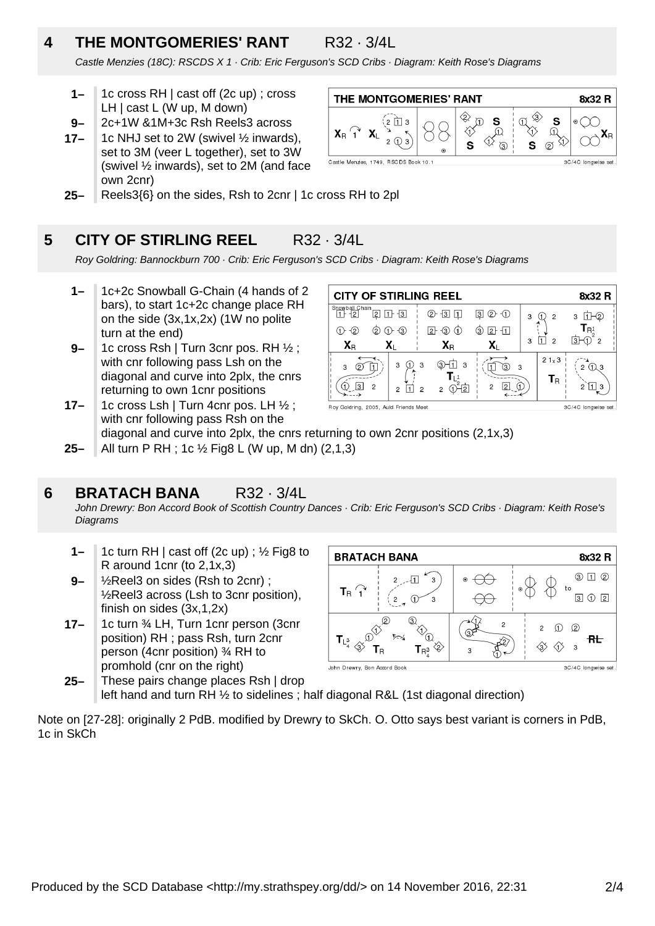### **4 THE MONTGOMERIES' RANT** R32 · 3/4L

Castle Menzies (18C): RSCDS X 1 · Crib: Eric Ferguson's SCD Cribs · Diagram: Keith Rose's Diagrams

- **1–** 1c cross RH | cast off (2c up) ; cross LH | cast L (W up, M down)
- **9–** 2c+1W &1M+3c Rsh Reels3 across
- **17–** 1c NHJ set to 2W (swivel ½ inwards), set to 3M (veer L together), set to 3W (swivel ½ inwards), set to 2M (and face own 2cnr)



**25–** Reels3{6} on the sides, Rsh to 2cnr | 1c cross RH to 2pl

#### **5 CITY OF STIRLING REEL** R32 · 3/4L

Roy Goldring: Bannockburn 700 · Crib: Eric Ferguson's SCD Cribs · Diagram: Keith Rose's Diagrams

- **1–** 1c+2c Snowball G-Chain (4 hands of 2 bars), to start 1c+2c change place RH on the side (3x,1x,2x) (1W no polite turn at the end)
- **17– 9–** 1c cross Rsh | Turn 3cnr pos. RH ½ ; with cnr following pass Lsh on the diagonal and curve into 2plx, the cnrs returning to own 1cnr positions 1c cross Lsh | Turn 4cnr pos. LH ½ ;

| <b>CITY OF STIRLING REEL</b>                     |                     |                                                       |                                |   |                                          | 8x32 R                             |
|--------------------------------------------------|---------------------|-------------------------------------------------------|--------------------------------|---|------------------------------------------|------------------------------------|
| Snowball Chain<br>$\overline{2}$<br>1 H<br>$+21$ | $1 + 3$             | 2)<br>$\frac{13}{2}$                                  | $(2)$ $(1)$<br>$\overline{3}$  | 3 | $\overline{2}$                           | 3                                  |
| $\rm _{(2)}$<br>(2)                              | $-(3)$<br>(1)       | 21<br>$\triangleleft$ 3                               | Э<br>$2 - 11$                  |   | 2                                        | R <sup>1</sup>                     |
| $\mathbf{X}_{\mathsf{R}}$                        | X۱                  | $\mathbf{X}_\text{R}$                                 | X۱                             | 3 |                                          | Iзŀ<br>2                           |
| 3<br>13<br>$\overline{c}$                        | 3<br>$\mathfrak{p}$ | 3<br>3.<br>3<br>$\overline{2}$<br>$\overline{c}$<br>2 | 3.<br>3<br>2<br>$\overline{2}$ |   | $21 \times 3$<br>$\mathsf{T}_\mathsf{R}$ | $\mathcal{P}$<br>$(1)$ 3<br>2<br>3 |

with cnr following pass Rsh on the diagonal and curve into 2plx, the cnrs returning to own 2cnr positions (2,1x,3)

**25–** All turn P RH ; 1c ½ Fig8 L (W up, M dn) (2,1,3)

#### **6 BRATACH BANA** R32 · 3/4L

John Drewry: Bon Accord Book of Scottish Country Dances · Crib: Eric Ferguson's SCD Cribs · Diagram: Keith Rose's **Diagrams** 

- **1–** 1c turn RH | cast off (2c up) ; ½ Fig8 to R around 1cnr (to 2,1x,3)
- **9–** ½Reel3 on sides (Rsh to 2cnr) ; ½Reel3 across (Lsh to 3cnr position), finish on sides (3x,1,2x)
- **17–** 1c turn ¾ LH, Turn 1cnr person (3cnr position) RH ; pass Rsh, turn 2cnr person (4cnr position) ¾ RH to promhold (cnr on the right)



**25–** These pairs change places Rsh | drop left hand and turn RH  $\frac{1}{2}$  to sidelines ; half diagonal R&L (1st diagonal direction)

Note on [27-28]: originally 2 PdB. modified by Drewry to SkCh. O. Otto says best variant is corners in PdB, 1c in SkCh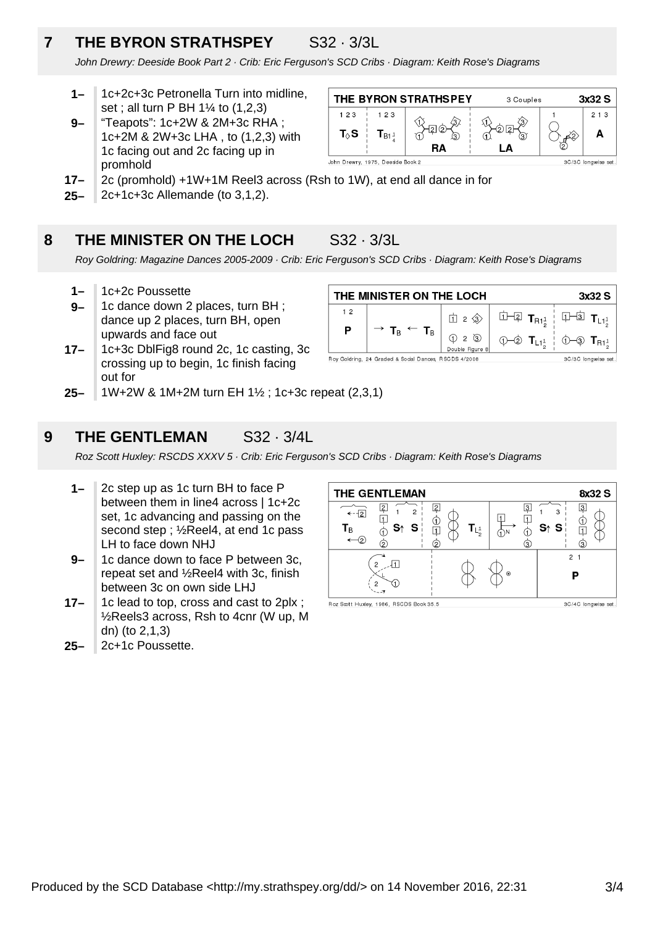## **7 THE BYRON STRATHSPEY** S32 · 3/3L

John Drewry: Deeside Book Part 2 · Crib: Eric Ferguson's SCD Cribs · Diagram: Keith Rose's Diagrams

- **1–** 1c+2c+3c Petronella Turn into midline, set ; all turn P BH 1¼ to (1,2,3)
- **9–** "Teapots": 1c+2W & 2M+3c RHA ; 1c+2M & 2W+3c LHA , to (1,2,3) with 1c facing out and 2c facing up in promhold



- **17–** 2c (promhold) +1W+1M Reel3 across (Rsh to 1W), at end all dance in for
- **25–** 2c+1c+3c Allemande (to 3,1,2).

#### **8 THE MINISTER ON THE LOCH** S32 · 3/3L

Roy Goldring: Magazine Dances 2005-2009 · Crib: Eric Ferguson's SCD Cribs · Diagram: Keith Rose's Diagrams

- **1–** 1c+2c Poussette
- **9–** 1c dance down 2 places, turn BH ; dance up 2 places, turn BH, open upwards and face out
- **17–** 1c+3c DblFig8 round 2c, 1c casting, 3c crossing up to begin, 1c finish facing out for



**25–** 1W+2W & 1M+2M turn EH 1½ ; 1c+3c repeat (2,3,1)

#### **9 THE GENTLEMAN** S32 · 3/4L

Roz Scott Huxley: RSCDS XXXV 5 · Crib: Eric Ferguson's SCD Cribs · Diagram: Keith Rose's Diagrams

- **1–** 2c step up as 1c turn BH to face P between them in line4 across | 1c+2c set, 1c advancing and passing on the second step ; ½Reel4, at end 1c pass LH to face down NHJ
- **9–** 1c dance down to face P between 3c, repeat set and ½Reel4 with 3c, finish between 3c on own side LHJ
- **17–** 1c lead to top, cross and cast to 2plx ; ½Reels3 across, Rsh to 4cnr (W up, M dn) (to 2,1,3)
- **25–** 2c+1c Poussette.